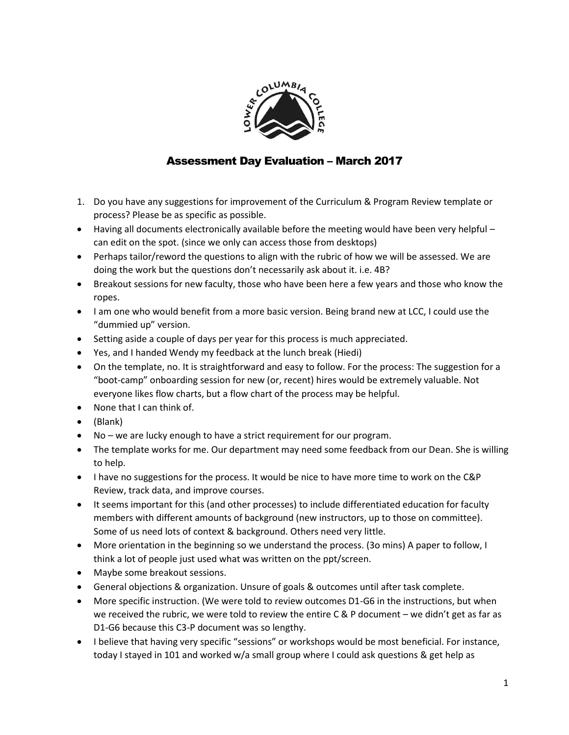

## Assessment Day Evaluation – March 2017

- 1. Do you have any suggestions for improvement of the Curriculum & Program Review template or process? Please be as specific as possible.
- Having all documents electronically available before the meeting would have been very helpful can edit on the spot. (since we only can access those from desktops)
- Perhaps tailor/reword the questions to align with the rubric of how we will be assessed. We are doing the work but the questions don't necessarily ask about it. i.e. 4B?
- Breakout sessions for new faculty, those who have been here a few years and those who know the ropes.
- I am one who would benefit from a more basic version. Being brand new at LCC, I could use the "dummied up" version.
- Setting aside a couple of days per year for this process is much appreciated.
- Yes, and I handed Wendy my feedback at the lunch break (Hiedi)
- On the template, no. It is straightforward and easy to follow. For the process: The suggestion for a "boot-camp" onboarding session for new (or, recent) hires would be extremely valuable. Not everyone likes flow charts, but a flow chart of the process may be helpful.
- None that I can think of.
- (Blank)
- No we are lucky enough to have a strict requirement for our program.
- The template works for me. Our department may need some feedback from our Dean. She is willing to help.
- I have no suggestions for the process. It would be nice to have more time to work on the C&P Review, track data, and improve courses.
- It seems important for this (and other processes) to include differentiated education for faculty members with different amounts of background (new instructors, up to those on committee). Some of us need lots of context & background. Others need very little.
- More orientation in the beginning so we understand the process. (3o mins) A paper to follow, I think a lot of people just used what was written on the ppt/screen.
- Maybe some breakout sessions.
- General objections & organization. Unsure of goals & outcomes until after task complete.
- More specific instruction. (We were told to review outcomes D1-G6 in the instructions, but when we received the rubric, we were told to review the entire C & P document – we didn't get as far as D1-G6 because this C3-P document was so lengthy.
- I believe that having very specific "sessions" or workshops would be most beneficial. For instance, today I stayed in 101 and worked w/a small group where I could ask questions & get help as